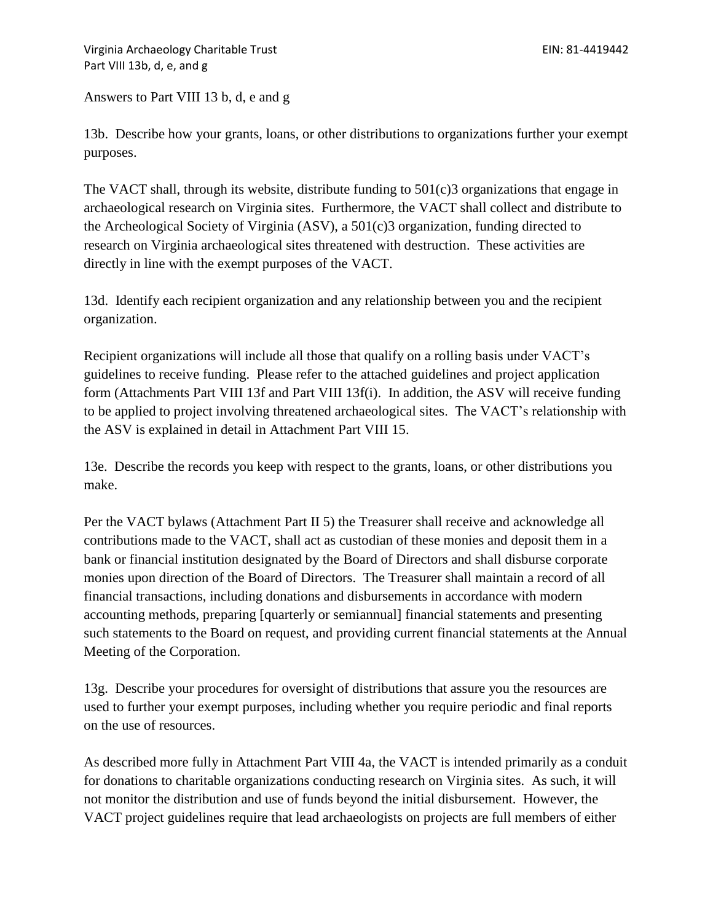Answers to Part VIII 13 b, d, e and g

13b. Describe how your grants, loans, or other distributions to organizations further your exempt purposes.

The VACT shall, through its website, distribute funding to  $501(c)3$  organizations that engage in archaeological research on Virginia sites. Furthermore, the VACT shall collect and distribute to the Archeological Society of Virginia (ASV), a 501(c)3 organization, funding directed to research on Virginia archaeological sites threatened with destruction. These activities are directly in line with the exempt purposes of the VACT.

13d. Identify each recipient organization and any relationship between you and the recipient organization.

Recipient organizations will include all those that qualify on a rolling basis under VACT's guidelines to receive funding. Please refer to the attached guidelines and project application form (Attachments Part VIII 13f and Part VIII 13f(i). In addition, the ASV will receive funding to be applied to project involving threatened archaeological sites. The VACT's relationship with the ASV is explained in detail in Attachment Part VIII 15.

13e. Describe the records you keep with respect to the grants, loans, or other distributions you make.

Per the VACT bylaws (Attachment Part II 5) the Treasurer shall receive and acknowledge all contributions made to the VACT, shall act as custodian of these monies and deposit them in a bank or financial institution designated by the Board of Directors and shall disburse corporate monies upon direction of the Board of Directors. The Treasurer shall maintain a record of all financial transactions, including donations and disbursements in accordance with modern accounting methods, preparing [quarterly or semiannual] financial statements and presenting such statements to the Board on request, and providing current financial statements at the Annual Meeting of the Corporation.

13g. Describe your procedures for oversight of distributions that assure you the resources are used to further your exempt purposes, including whether you require periodic and final reports on the use of resources.

As described more fully in Attachment Part VIII 4a, the VACT is intended primarily as a conduit for donations to charitable organizations conducting research on Virginia sites. As such, it will not monitor the distribution and use of funds beyond the initial disbursement. However, the VACT project guidelines require that lead archaeologists on projects are full members of either